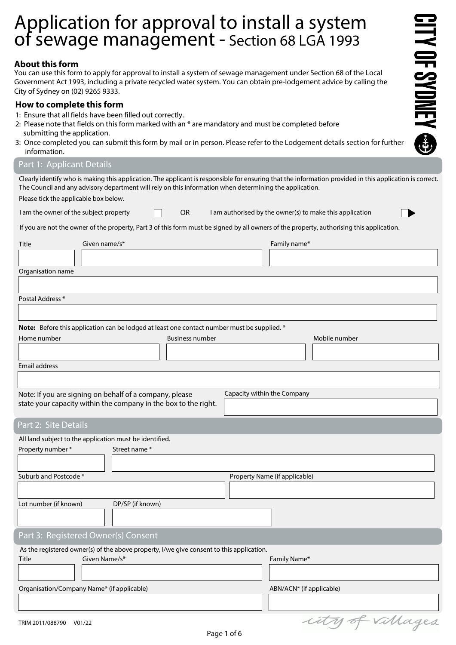# Application for approval to install a system of sewage management - Section 68 LGA 1993

## **About this form**

You can use this form to apply for approval to install a system of sewage management under Section 68 of the Local Government Act 1993, including a private recycled water system. You can obtain pre-lodgement advice by calling the City of Sydney on (02) 9265 9333.

## **How to complete this form**

- 1: Ensure that all fields have been filled out correctly.
- 2: Please note that fields on this form marked with an  $*$  are mandatory and must be completed before submitting the application.
- 3: Once completed you can submit this form by mail or in person. Please refer to the Lodgement details section for further information.

### Part 1: Applicant Details

Clearly identify who is making this application. The applicant is responsible for ensuring that the information provided in this application is correct. The Council and any advisory department will rely on this information when determining the application.

**ITY OF SYDNEY @** 

Please tick the applicable box below.

| I am the owner of the subject property |  |  | I am authorised by the owner(s) to make this application |  |  |
|----------------------------------------|--|--|----------------------------------------------------------|--|--|
|----------------------------------------|--|--|----------------------------------------------------------|--|--|

If you are not the owner of the property, Part 3 of this form must be signed by all owners of the property, authorising this application.

| Given name/s*<br>Title                                                                                                     |                        | Family name*                  |
|----------------------------------------------------------------------------------------------------------------------------|------------------------|-------------------------------|
|                                                                                                                            |                        |                               |
| Organisation name                                                                                                          |                        |                               |
|                                                                                                                            |                        |                               |
| Postal Address*                                                                                                            |                        |                               |
|                                                                                                                            |                        |                               |
|                                                                                                                            |                        |                               |
| Note: Before this application can be lodged at least one contact number must be supplied. *                                |                        |                               |
| Home number                                                                                                                | <b>Business number</b> | Mobile number                 |
|                                                                                                                            |                        |                               |
| <b>Email address</b>                                                                                                       |                        |                               |
|                                                                                                                            |                        |                               |
|                                                                                                                            |                        | Capacity within the Company   |
| Note: If you are signing on behalf of a company, please<br>state your capacity within the company in the box to the right. |                        |                               |
|                                                                                                                            |                        |                               |
| Part 2: Site Details                                                                                                       |                        |                               |
| All land subject to the application must be identified.                                                                    |                        |                               |
| Property number *<br>Street name*                                                                                          |                        |                               |
|                                                                                                                            |                        |                               |
| Suburb and Postcode*                                                                                                       |                        | Property Name (if applicable) |
|                                                                                                                            |                        |                               |
| DP/SP (if known)<br>Lot number (if known)                                                                                  |                        |                               |
|                                                                                                                            |                        |                               |
|                                                                                                                            |                        |                               |
| Part 3: Registered Owner(s) Consent                                                                                        |                        |                               |
| As the registered owner(s) of the above property, I/we give consent to this application.                                   |                        |                               |
| Given Name/s*<br>Title                                                                                                     |                        | Family Name*                  |
|                                                                                                                            |                        |                               |
| Organisation/Company Name* (if applicable)                                                                                 |                        | ABN/ACN* (if applicable)      |
|                                                                                                                            |                        |                               |

city of villages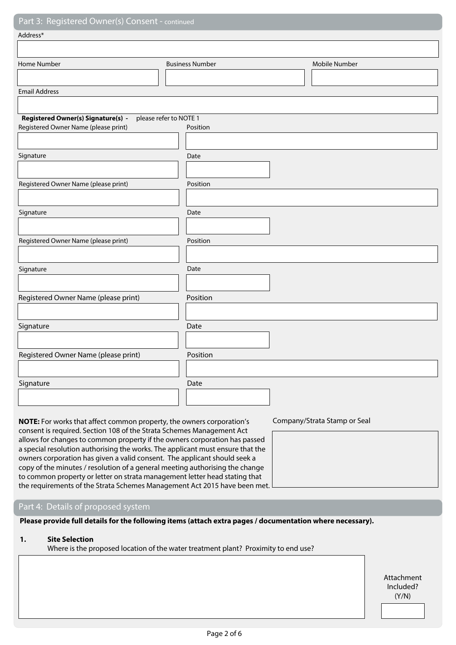# Part 3: Registered Owner(s) Conse

| Tail 3. Registered Owner(3) Consent - communed |                        |               |
|------------------------------------------------|------------------------|---------------|
| Address*                                       |                        |               |
|                                                |                        |               |
| Home Number                                    | <b>Business Number</b> | Mobile Number |
|                                                |                        |               |
| <b>Email Address</b>                           |                        |               |
|                                                |                        |               |
| Registered Owner(s) Signature(s) -             | please refer to NOTE 1 |               |
| Registered Owner Name (please print)           | Position               |               |
|                                                |                        |               |
| Signature                                      | Date                   |               |
|                                                |                        |               |
| Registered Owner Name (please print)           | Position               |               |
|                                                |                        |               |
| Signature                                      | Date                   |               |
|                                                |                        |               |
| Registered Owner Name (please print)           | Position               |               |
|                                                |                        |               |
| Signature                                      | Date                   |               |
|                                                |                        |               |
| Registered Owner Name (please print)           | Position               |               |
|                                                |                        |               |
| Signature                                      | Date                   |               |
|                                                |                        |               |
| Registered Owner Name (please print)           | Position               |               |
|                                                |                        |               |
| Signature                                      | Date                   |               |
|                                                |                        |               |
|                                                |                        |               |

**NOTE:** For works that affect common property, the owners corporation's Company/Strata Stamp or Seal consent is required. Section 108 of the Strata Schemes Management Act allows for changes to common property if the owners corporation has passed a special resolution authorising the works. The applicant must ensure that the owners corporation has given a valid consent. The applicant should seek a copy of the minutes / resolution of a general meeting authorising the change to common property or letter on strata management letter head stating that the requirements of the Strata Schemes Management Act 2015 have been met.

### Part 4: Details of proposed system

**Please provide full details for the following items (attach extra pages / documentation where necessary).** 

### **1. Site Selection**

Where is the proposed location of the water treatment plant? Proximity to end use?

Attachment Included? (Y/N)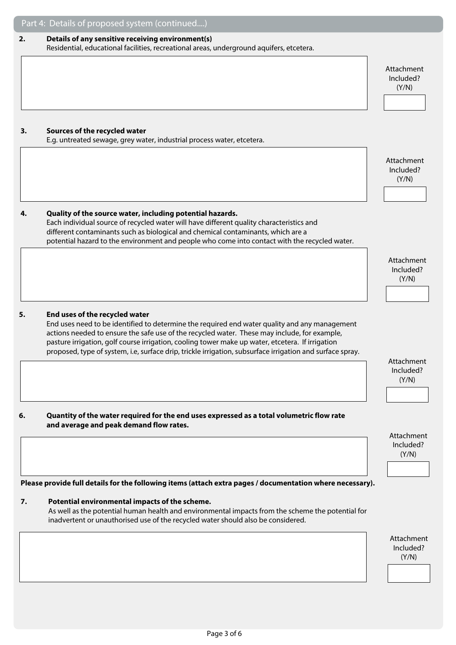| 2. | Details of any sensitive receiving environment(s)<br>Residential, educational facilities, recreational areas, underground aquifers, etcetera.                                                    |                         |
|----|--------------------------------------------------------------------------------------------------------------------------------------------------------------------------------------------------|-------------------------|
|    |                                                                                                                                                                                                  |                         |
|    |                                                                                                                                                                                                  | Attachment              |
|    |                                                                                                                                                                                                  | Included?<br>(Y/N)      |
|    |                                                                                                                                                                                                  |                         |
|    |                                                                                                                                                                                                  |                         |
|    |                                                                                                                                                                                                  |                         |
| 3. | Sources of the recycled water<br>E.g. untreated sewage, grey water, industrial process water, etcetera.                                                                                          |                         |
|    |                                                                                                                                                                                                  |                         |
|    |                                                                                                                                                                                                  | Attachment<br>Included? |
|    |                                                                                                                                                                                                  | (Y/N)                   |
|    |                                                                                                                                                                                                  |                         |
| 4. | Quality of the source water, including potential hazards.                                                                                                                                        |                         |
|    | Each individual source of recycled water will have different quality characteristics and                                                                                                         |                         |
|    | different contaminants such as biological and chemical contaminants, which are a                                                                                                                 |                         |
|    | potential hazard to the environment and people who come into contact with the recycled water.                                                                                                    |                         |
|    |                                                                                                                                                                                                  | Attachment              |
|    |                                                                                                                                                                                                  | Included?<br>(Y/N)      |
|    |                                                                                                                                                                                                  |                         |
|    |                                                                                                                                                                                                  |                         |
| 5. | End uses of the recycled water                                                                                                                                                                   |                         |
|    | End uses need to be identified to determine the required end water quality and any management                                                                                                    |                         |
|    | actions needed to ensure the safe use of the recycled water. These may include, for example,<br>pasture irrigation, golf course irrigation, cooling tower make up water, etcetera. If irrigation |                         |
|    | proposed, type of system, i.e, surface drip, trickle irrigation, subsurface irrigation and surface spray.                                                                                        |                         |
|    |                                                                                                                                                                                                  | Attachment<br>Included? |
|    |                                                                                                                                                                                                  | (Y/N)                   |
|    |                                                                                                                                                                                                  |                         |
|    |                                                                                                                                                                                                  |                         |
| 6. | Quantity of the water required for the end uses expressed as a total volumetric flow rate<br>and average and peak demand flow rates.                                                             |                         |
|    |                                                                                                                                                                                                  | Attachment              |
|    |                                                                                                                                                                                                  | Included?<br>(Y/N)      |
|    |                                                                                                                                                                                                  |                         |
|    |                                                                                                                                                                                                  |                         |
|    | Please provide full details for the following items (attach extra pages / documentation where necessary).                                                                                        |                         |
| 7. | Potential environmental impacts of the scheme.                                                                                                                                                   |                         |
|    | As well as the potential human health and environmental impacts from the scheme the potential for<br>inadvertent or unauthorised use of the recycled water should also be considered.            |                         |
|    |                                                                                                                                                                                                  |                         |
|    |                                                                                                                                                                                                  | Attachment<br>Included? |
|    |                                                                                                                                                                                                  |                         |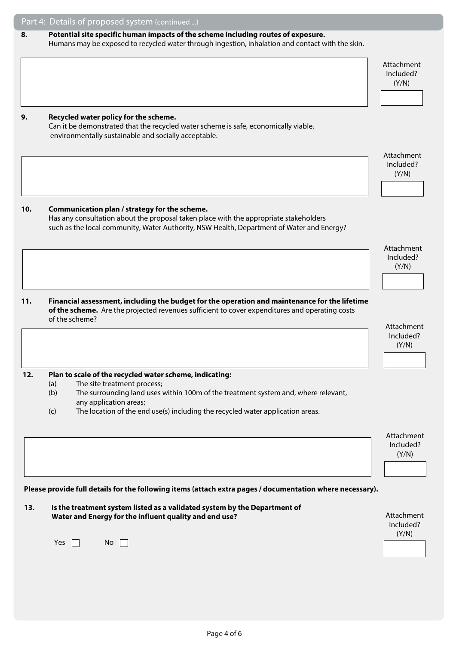# Part 4: Details of proposed system (continued ...) Attachment Included? (Y/N) Attachment Included? (Y/N) Attachment Included? (Y/N) Attachment Included? (Y/N) Attachment Included? (Y/N) **Please provide full details for the following items (attach extra pages / documentation where necessary). 13. Is the treatment system listed as a validated system by the Department of**  Water and Energy for the influent quality and end use? **Attachment** and the influent statement Included? (Y/N) Yes  $\Box$  No  $\Box$ **8. Potential site specific human impacts of the scheme including routes of exposure.**  Humans may be exposed to recycled water through ingestion, inhalation and contact with the skin.  **9. Recycled water policy for the scheme.**  Can it be demonstrated that the recycled water scheme is safe, economically viable, environmentally sustainable and socially acceptable.  **10. Communication plan / strategy for the scheme.**  Has any consultation about the proposal taken place with the appropriate stakeholders such as the local community, Water Authority, NSW Health, Department of Water and Energy? **11. Financial assessment, including the budget for the operation and maintenance for the lifetime of the scheme.** Are the projected revenues sufficient to cover expenditures and operating costs of the scheme?  **12. Plan to scale of the recycled water scheme, indicating:**  (a) The site treatment process; (b) The surrounding land uses within 100m of the treatment system and, where relevant, any application areas; (c) The location of the end use(s) including the recycled water application areas.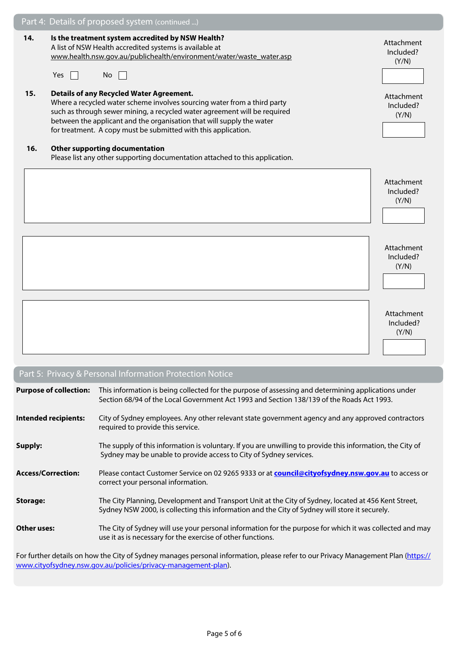|     | Part 4: Details of proposed system (continued )                                                                                                                                                                                                                                                                                                     |                                  |
|-----|-----------------------------------------------------------------------------------------------------------------------------------------------------------------------------------------------------------------------------------------------------------------------------------------------------------------------------------------------------|----------------------------------|
| 14. | Is the treatment system accredited by NSW Health?<br>A list of NSW Health accredited systems is available at<br>www.health.nsw.gov.au/publichealth/environment/water/waste_water.asp<br>Yes<br>No                                                                                                                                                   | Attachment<br>Included?<br>(Y/N) |
| 15. | <b>Details of any Recycled Water Agreement.</b><br>Where a recycled water scheme involves sourcing water from a third party<br>such as through sewer mining, a recycled water agreement will be required<br>between the applicant and the organisation that will supply the water<br>for treatment. A copy must be submitted with this application. | Attachment<br>Included?<br>(Y/N) |
| 16. | <b>Other supporting documentation</b><br>Please list any other supporting documentation attached to this application.                                                                                                                                                                                                                               |                                  |
|     |                                                                                                                                                                                                                                                                                                                                                     | Attachment<br>Included?<br>(Y/N) |
|     |                                                                                                                                                                                                                                                                                                                                                     | Attachment<br>Included?<br>(Y/N) |
|     |                                                                                                                                                                                                                                                                                                                                                     | Attachment<br>Included?<br>(Y/N) |

# Part 5: Privacy & Personal Information Protection Notice

| <b>Purpose of collection:</b> | This information is being collected for the purpose of assessing and determining applications under<br>Section 68/94 of the Local Government Act 1993 and Section 138/139 of the Roads Act 1993.       |
|-------------------------------|--------------------------------------------------------------------------------------------------------------------------------------------------------------------------------------------------------|
| <b>Intended recipients:</b>   | City of Sydney employees. Any other relevant state government agency and any approved contractors<br>required to provide this service.                                                                 |
| Supply:                       | The supply of this information is voluntary. If you are unwilling to provide this information, the City of<br>Sydney may be unable to provide access to City of Sydney services.                       |
| <b>Access/Correction:</b>     | Please contact Customer Service on 02 9265 9333 or at council@cityofsydney.nsw.gov.au to access or<br>correct your personal information.                                                               |
| <b>Storage:</b>               | The City Planning, Development and Transport Unit at the City of Sydney, located at 456 Kent Street,<br>Sydney NSW 2000, is collecting this information and the City of Sydney will store it securely. |
| Other uses:                   | The City of Sydney will use your personal information for the purpose for which it was collected and may<br>use it as is necessary for the exercise of other functions.                                |
|                               |                                                                                                                                                                                                        |

For further details on how the City of Sydney manages personal information, please refer to our Privacy Management Plan ([https://](https://www.cityofsydney.nsw.gov.au/policies/privacy-management-plan) [www.cityofsydney.nsw.gov.au/policies/privacy-management-plan\)](https://www.cityofsydney.nsw.gov.au/policies/privacy-management-plan).